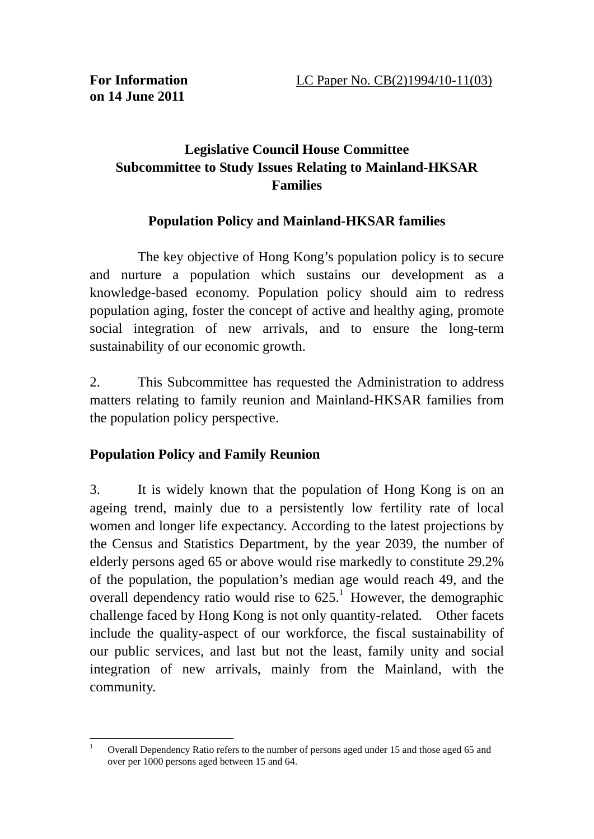## **Legislative Council House Committee Subcommittee to Study Issues Relating to Mainland-HKSAR Families**

## **Population Policy and Mainland-HKSAR families**

 The key objective of Hong Kong's population policy is to secure and nurture a population which sustains our development as a knowledge-based economy. Population policy should aim to redress population aging, foster the concept of active and healthy aging, promote social integration of new arrivals, and to ensure the long-term sustainability of our economic growth.

2. This Subcommittee has requested the Administration to address matters relating to family reunion and Mainland-HKSAR families from the population policy perspective.

## **Population Policy and Family Reunion**

3. It is widely known that the population of Hong Kong is on an ageing trend, mainly due to a persistently low fertility rate of local women and longer life expectancy. According to the latest projections by the Census and Statistics Department, by the year 2039, the number of elderly persons aged 65 or above would rise markedly to constitute 29.2% of the population, the population's median age would reach 49, and the overall dependency ratio would rise to  $625<sup>1</sup>$  However, the demographic challenge faced by Hong Kong is not only quantity-related. Other facets include the quality-aspect of our workforce, the fiscal sustainability of our public services, and last but not the least, family unity and social integration of new arrivals, mainly from the Mainland, with the community.

<sup>&</sup>lt;u>.</u> 1 Overall Dependency Ratio refers to the number of persons aged under 15 and those aged 65 and over per 1000 persons aged between 15 and 64.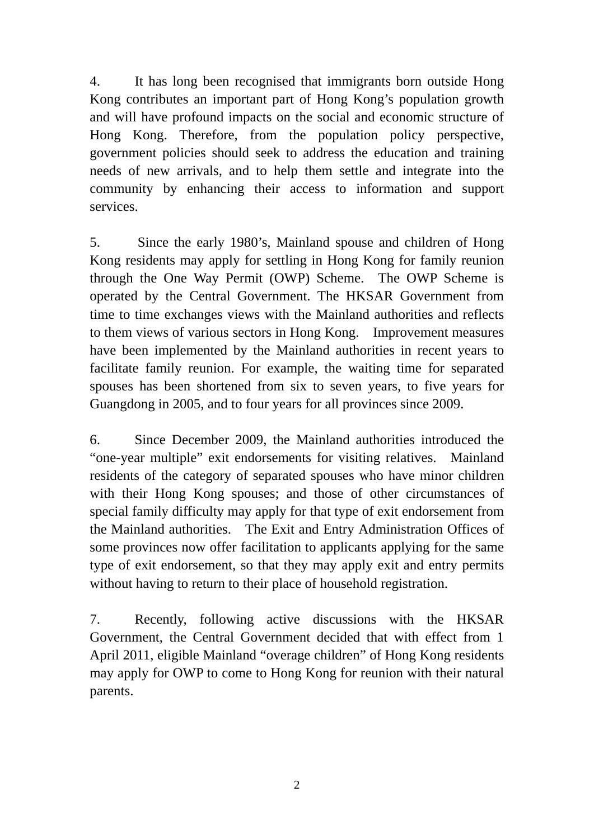4. It has long been recognised that immigrants born outside Hong Kong contributes an important part of Hong Kong's population growth and will have profound impacts on the social and economic structure of Hong Kong. Therefore, from the population policy perspective, government policies should seek to address the education and training needs of new arrivals, and to help them settle and integrate into the community by enhancing their access to information and support services.

5. Since the early 1980's, Mainland spouse and children of Hong Kong residents may apply for settling in Hong Kong for family reunion through the One Way Permit (OWP) Scheme. The OWP Scheme is operated by the Central Government. The HKSAR Government from time to time exchanges views with the Mainland authorities and reflects to them views of various sectors in Hong Kong. Improvement measures have been implemented by the Mainland authorities in recent years to facilitate family reunion. For example, the waiting time for separated spouses has been shortened from six to seven years, to five years for Guangdong in 2005, and to four years for all provinces since 2009.

6. Since December 2009, the Mainland authorities introduced the "one-year multiple" exit endorsements for visiting relatives. Mainland residents of the category of separated spouses who have minor children with their Hong Kong spouses; and those of other circumstances of special family difficulty may apply for that type of exit endorsement from the Mainland authorities. The Exit and Entry Administration Offices of some provinces now offer facilitation to applicants applying for the same type of exit endorsement, so that they may apply exit and entry permits without having to return to their place of household registration.

7. Recently, following active discussions with the HKSAR Government, the Central Government decided that with effect from 1 April 2011, eligible Mainland "overage children" of Hong Kong residents may apply for OWP to come to Hong Kong for reunion with their natural parents.